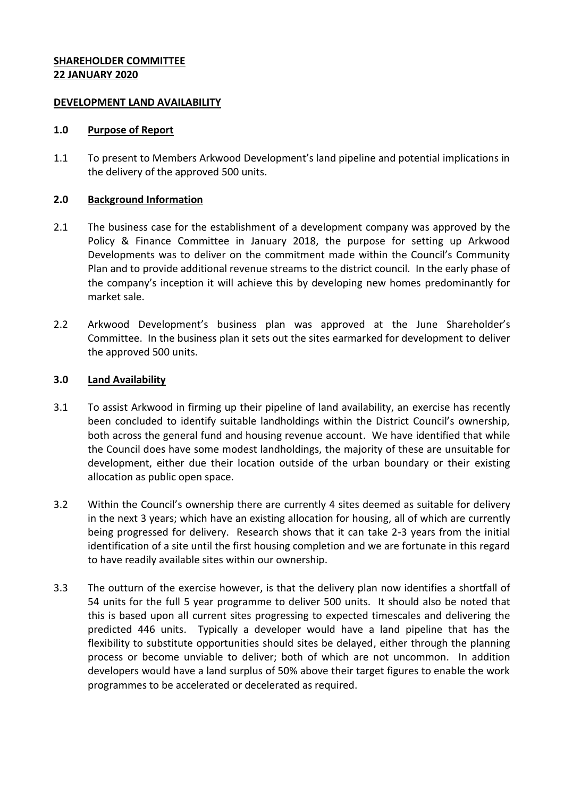## **SHAREHOLDER COMMITTEE 22 JANUARY 2020**

### **DEVELOPMENT LAND AVAILABILITY**

### **1.0 Purpose of Report**

1.1 To present to Members Arkwood Development's land pipeline and potential implications in the delivery of the approved 500 units.

### **2.0 Background Information**

- 2.1 The business case for the establishment of a development company was approved by the Policy & Finance Committee in January 2018, the purpose for setting up Arkwood Developments was to deliver on the commitment made within the Council's Community Plan and to provide additional revenue streams to the district council. In the early phase of the company's inception it will achieve this by developing new homes predominantly for market sale.
- 2.2 Arkwood Development's business plan was approved at the June Shareholder's Committee. In the business plan it sets out the sites earmarked for development to deliver the approved 500 units.

## **3.0 Land Availability**

- 3.1 To assist Arkwood in firming up their pipeline of land availability, an exercise has recently been concluded to identify suitable landholdings within the District Council's ownership, both across the general fund and housing revenue account. We have identified that while the Council does have some modest landholdings, the majority of these are unsuitable for development, either due their location outside of the urban boundary or their existing allocation as public open space.
- 3.2 Within the Council's ownership there are currently 4 sites deemed as suitable for delivery in the next 3 years; which have an existing allocation for housing, all of which are currently being progressed for delivery. Research shows that it can take 2-3 years from the initial identification of a site until the first housing completion and we are fortunate in this regard to have readily available sites within our ownership.
- 3.3 The outturn of the exercise however, is that the delivery plan now identifies a shortfall of 54 units for the full 5 year programme to deliver 500 units. It should also be noted that this is based upon all current sites progressing to expected timescales and delivering the predicted 446 units. Typically a developer would have a land pipeline that has the flexibility to substitute opportunities should sites be delayed, either through the planning process or become unviable to deliver; both of which are not uncommon. In addition developers would have a land surplus of 50% above their target figures to enable the work programmes to be accelerated or decelerated as required.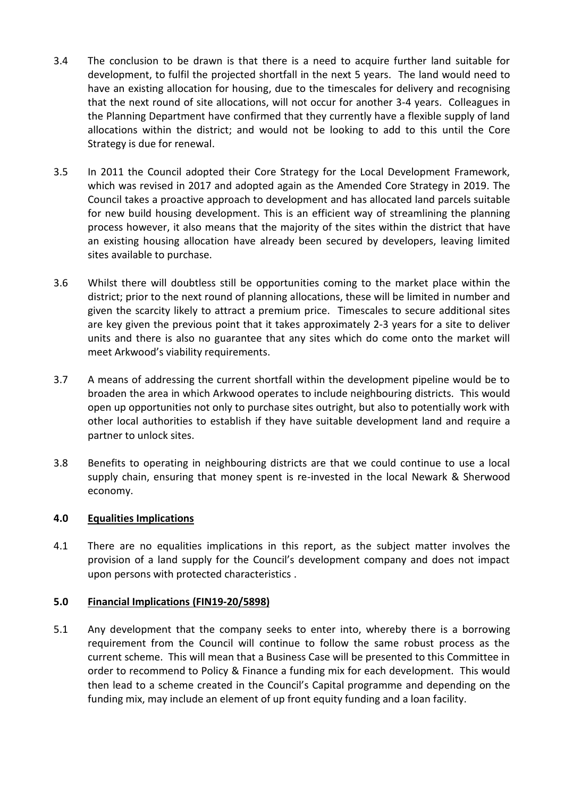- 3.4 The conclusion to be drawn is that there is a need to acquire further land suitable for development, to fulfil the projected shortfall in the next 5 years. The land would need to have an existing allocation for housing, due to the timescales for delivery and recognising that the next round of site allocations, will not occur for another 3-4 years. Colleagues in the Planning Department have confirmed that they currently have a flexible supply of land allocations within the district; and would not be looking to add to this until the Core Strategy is due for renewal.
- 3.5 In 2011 the Council adopted their Core Strategy for the Local Development Framework, which was revised in 2017 and adopted again as the Amended Core Strategy in 2019. The Council takes a proactive approach to development and has allocated land parcels suitable for new build housing development. This is an efficient way of streamlining the planning process however, it also means that the majority of the sites within the district that have an existing housing allocation have already been secured by developers, leaving limited sites available to purchase.
- 3.6 Whilst there will doubtless still be opportunities coming to the market place within the district; prior to the next round of planning allocations, these will be limited in number and given the scarcity likely to attract a premium price. Timescales to secure additional sites are key given the previous point that it takes approximately 2-3 years for a site to deliver units and there is also no guarantee that any sites which do come onto the market will meet Arkwood's viability requirements.
- 3.7 A means of addressing the current shortfall within the development pipeline would be to broaden the area in which Arkwood operates to include neighbouring districts. This would open up opportunities not only to purchase sites outright, but also to potentially work with other local authorities to establish if they have suitable development land and require a partner to unlock sites.
- 3.8 Benefits to operating in neighbouring districts are that we could continue to use a local supply chain, ensuring that money spent is re-invested in the local Newark & Sherwood economy.

# **4.0 Equalities Implications**

4.1 There are no equalities implications in this report, as the subject matter involves the provision of a land supply for the Council's development company and does not impact upon persons with protected characteristics .

### **5.0 Financial Implications (FIN19-20/5898)**

5.1 Any development that the company seeks to enter into, whereby there is a borrowing requirement from the Council will continue to follow the same robust process as the current scheme. This will mean that a Business Case will be presented to this Committee in order to recommend to Policy & Finance a funding mix for each development. This would then lead to a scheme created in the Council's Capital programme and depending on the funding mix, may include an element of up front equity funding and a loan facility.